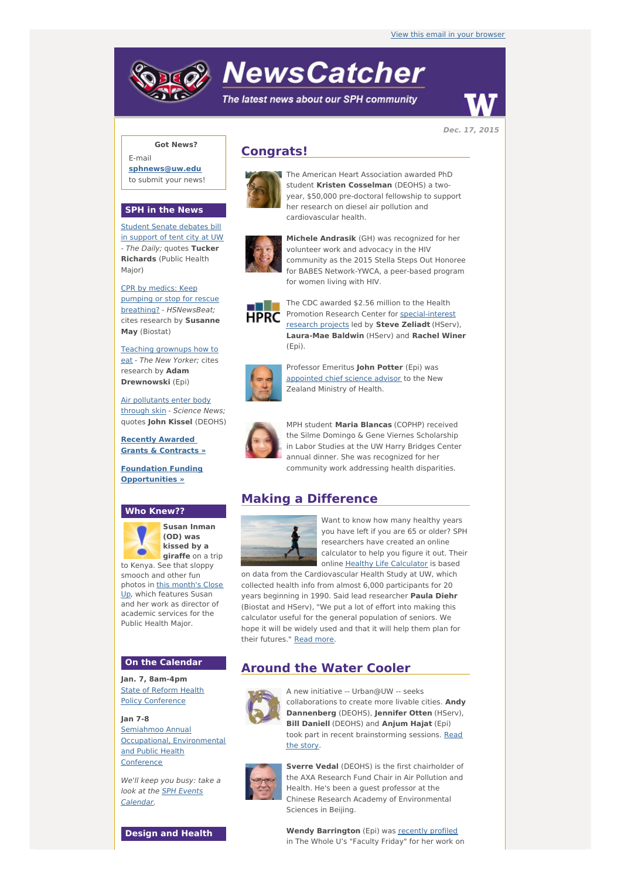# **NewsCatcher**

The latest news about our SPH community



**Dec. 17, 2015**

### **Got News?**

E-mail **[sphnews@uw.edu](mailto:sphnews@uw.edu)** to submit your news!

#### **SPH in the News**

Student Senate [debates](http://engage.washington.edu/site/R?i=T8IIWRLQZ1hHRziPrOHKOg) bill in support of tent city at UW - The Daily; quotes **Tucker Richards** (Public Health Major)

CPR by medics: Keep pumping or stop for rescue breathing? - [HSNewsBeat;](http://engage.washington.edu/site/R?i=dF2SRRrC7npdQJKxEa6ckQ) cites research by **Susanne May** (Biostat)

Teaching [grownups](http://engage.washington.edu/site/R?i=6bLkBp5ZuZTmGOMXaFNGDg) how to eat - The New Yorker; cites research by **Adam Drewnowski** (Epi)

Air [pollutants](http://engage.washington.edu/site/R?i=roBq7K-Xu3tvwc9_pdZAXQ) enter body through skin - Science News; quotes **John Kissel** (DEOHS)

**Recently Awarded Grants & [Contracts](http://engage.washington.edu/site/R?i=INeFbC8XZB1oLVpL0h6Qfw) »**

**Foundation Funding [Opportunities](http://engage.washington.edu/site/R?i=ImqurHP5E0ZZqrQYUbVSrQ) »**

#### **Who Knew??**



**Susan Inman (OD) was kissed by a giraffe** on a trip to Kenya. See that sloppy

smooch and other fun photos in this [month's](http://engage.washington.edu/site/R?i=fhB35ZS8F71MnNTwhNVu9g) Close Up, which features Susan and her work as director of academic services for the Public Health Major.

#### **On the Calendar**

**Jan. 7, 8am-4pm** State of Reform Health Policy [Conference](http://engage.washington.edu/site/R?i=wmMOge__TxqWHDoL6HHjWw)

**Jan 7-8** Semiahmoo Annual Occupational, [Environmental](http://engage.washington.edu/site/R?i=NqNOvY3RlpKT_msB9HlrwA) and Public Health Conference

We'll keep you busy: take a look at the **SPH Events** [Calendar.](http://engage.washington.edu/site/R?i=O59fN_YWH2WfLLR-2_sBKw)

**Design and Health**

# **Congrats!**



The American Heart Association awarded PhD student **Kristen Cosselman** (DEOHS) a twoyear, \$50,000 pre-doctoral fellowship to support her research on diesel air pollution and cardiovascular health.



**Michele Andrasik** (GH) was recognized for her volunteer work and advocacy in the HIV community as the 2015 Stella Steps Out Honoree for BABES Network-YWCA, a peer-based program for women living with HIV.



The CDC awarded \$2.56 million to the Health Promotion Research Center for [special-interest](http://engage.washington.edu/site/R?i=hhFIxYcYistgOZS6QbdP-A) research projects led by **Steve Zeliadt** (HServ), **Laura-Mae Baldwin** (HServ) and **Rachel Winer** (Epi).



Professor Emeritus **John Potter** (Epi) was [appointed](http://engage.washington.edu/site/R?i=y1Q5TnFMrf1VTjwGhkBvLw) chief science advisor to the New Zealand Ministry of Health.



MPH student **Maria Blancas** (COPHP) received the Silme Domingo & Gene Viernes Scholarship in Labor Studies at the UW Harry Bridges Center annual dinner. She was recognized for her community work addressing health disparities.

## **Making a Difference**



Want to know how many healthy years you have left if you are 65 or older? SPH researchers have created an online calculator to help you figure it out. Their online Healthy Life [Calculator](http://engage.washington.edu/site/R?i=_zdQGxHgmVhdpmjX52O7PA) is based

on data from the Cardiovascular Health Study at UW, which collected health info from almost 6,000 participants for 20 years beginning in 1990. Said lead researcher **Paula Diehr** (Biostat and HServ), "We put a lot of effort into making this calculator useful for the general population of seniors. We hope it will be widely used and that it will help them plan for their futures." [Read](http://engage.washington.edu/site/R?i=vDP8O8mS-CklCLDNQLKscA) more.

## **Around the Water Cooler**



A new initiative -- Urban@UW -- seeks collaborations to create more livable cities. **Andy Dannenberg** (DEOHS), **Jennifer Otten** (HServ), **Bill Daniell** (DEOHS) and **Anjum Hajat** (Epi) took part in recent [brainstorming](http://engage.washington.edu/site/R?i=db2pYpKcYXWqAwr7H4qo0A) sessions. Read the story.



**Sverre Vedal** (DEOHS) is the first chairholder of the AXA Research Fund Chair in Air Pollution and Health. He's been a guest professor at the Chinese Research Academy of Environmental Sciences in Beijing.

**Wendy Barrington** (Epi) was [recently](http://engage.washington.edu/site/R?i=aiKEQQPqZ--5XQHcWVNN9A) profiled in The Whole U's "Faculty Friday" for her work on